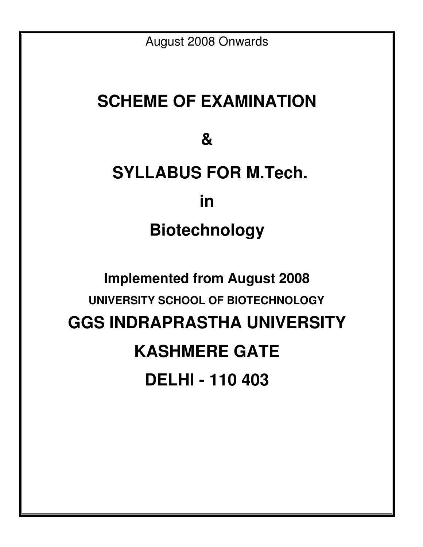August 2008 Onwards

# **SCHEME OF EXAMINATION**

**&** 

# **SYLLABUS FOR M.Tech. in Biotechnology**

# **Implemented from August 2008 UNIVERSITY SCHOOL OF BIOTECHNOLOGY GGS INDRAPRASTHA UNIVERSITY KASHMERE GATE DELHI - 110 403**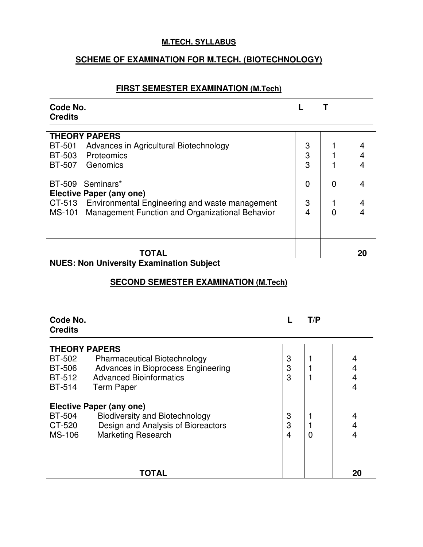#### **M.TECH. SYLLABUS**

# **SCHEME OF EXAMINATION FOR M.TECH. (BIOTECHNOLOGY)**

# **FIRST SEMESTER EXAMINATION (M.Tech)**

| Code No.<br><b>Credits</b>                                              |   |   |    |
|-------------------------------------------------------------------------|---|---|----|
| <b>THEORY PAPERS</b>                                                    |   |   |    |
| <b>BT-501</b><br>Advances in Agricultural Biotechnology                 | 3 |   |    |
| <b>BT-503</b><br>Proteomics                                             | 3 |   |    |
| BT-507<br>Genomics                                                      | 3 |   |    |
| BT-509 Seminars*                                                        | 0 |   |    |
| Elective Paper (any one)                                                |   |   |    |
| CT-513 Environmental Engineering and waste management                   | 3 |   | 4  |
| <b>Management Function and Organizational Behavior</b><br><b>MS-101</b> | 4 | 0 |    |
|                                                                         |   |   |    |
| TOTAL<br>Marcelle Grandeller Freeman Gellen Orchitect<br>LIII.          |   |   | 20 |

#### **NUES: Non University Examination Subject**

### **SECOND SEMESTER EXAMINATION (M.Tech)**

| Code No.<br><b>Credits</b> |                                       |   | T/P |    |
|----------------------------|---------------------------------------|---|-----|----|
| <b>THEORY PAPERS</b>       |                                       |   |     |    |
| <b>BT-502</b>              | <b>Pharmaceutical Biotechnology</b>   | 3 |     | 4  |
| <b>BT-506</b>              | Advances in Bioprocess Engineering    | 3 |     |    |
| BT-512                     | <b>Advanced Bioinformatics</b>        | 3 |     | 4  |
| <b>BT-514</b>              | <b>Term Paper</b>                     |   |     | 4  |
|                            | <b>Elective Paper (any one)</b>       |   |     |    |
| <b>BT-504</b>              | <b>Biodiversity and Biotechnology</b> | 3 |     | 4  |
| CT-520                     | Design and Analysis of Bioreactors    | 3 |     |    |
| <b>MS-106</b>              | <b>Marketing Research</b>             | 4 | 0   |    |
|                            |                                       |   |     |    |
|                            | TOTAL                                 |   |     | 20 |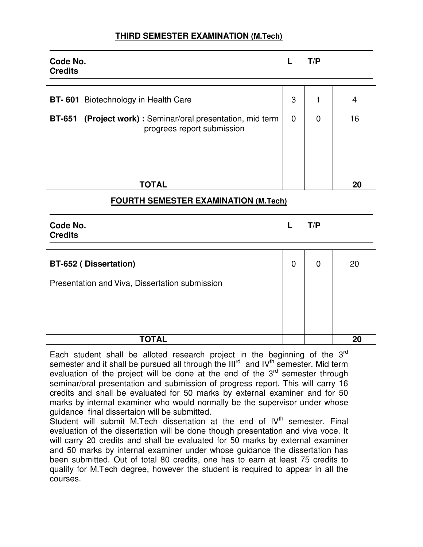| Code No.<br><b>Credits</b>                                                                                                                        |                  | T/P            |         |
|---------------------------------------------------------------------------------------------------------------------------------------------------|------------------|----------------|---------|
| <b>BT-601</b> Biotechnology in Health Care<br>(Project work) : Seminar/oral presentation, mid term<br><b>BT-651</b><br>progrees report submission | 3<br>$\mathbf 0$ | $\overline{0}$ | 4<br>16 |
| TOTAL                                                                                                                                             |                  |                | 20      |

### **FOURTH SEMESTER EXAMINATION (M.Tech)**

**Code No. L T/P Credits** 

**BT-652 ( Dissertation)**  Presentation and Viva, Dissertation submission 0 0 20  **TOTAL 20** 

Each student shall be alloted research project in the beginning of the 3<sup>rd</sup> semester and it shall be pursued all through the III<sup>rd</sup> and IV<sup>th</sup> semester. Mid term evaluation of the project will be done at the end of the  $3<sup>rd</sup>$  semester through seminar/oral presentation and submission of progress report. This will carry 16 credits and shall be evaluated for 50 marks by external examiner and for 50 marks by internal examiner who would normally be the supervisor under whose guidance final dissertaion will be submitted.

Student will submit M.Tech dissertation at the end of IV<sup>th</sup> semester. Final evaluation of the dissertation will be done though presentation and viva voce. It will carry 20 credits and shall be evaluated for 50 marks by external examiner and 50 marks by internal examiner under whose guidance the dissertation has been submitted. Out of total 80 credits, one has to earn at least 75 credits to qualify for M.Tech degree, however the student is required to appear in all the courses.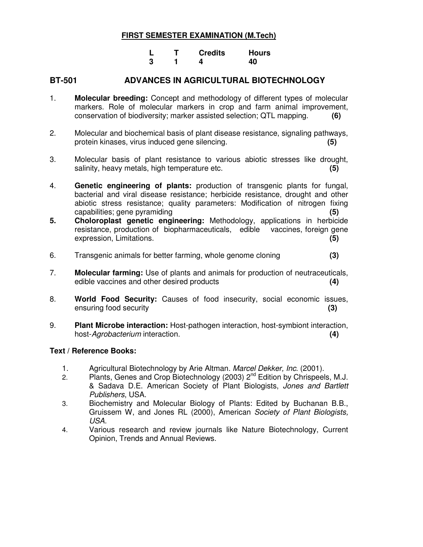|  | <b>Credits</b> | <b>Hours</b> |
|--|----------------|--------------|
|  |                | 40           |

#### **BT-501 ADVANCES IN AGRICULTURAL BIOTECHNOLOGY**

- 1. **Molecular breeding:** Concept and methodology of different types of molecular markers. Role of molecular markers in crop and farm animal improvement, conservation of biodiversity; marker assisted selection; QTL mapping. **(6)**
- 2. Molecular and biochemical basis of plant disease resistance, signaling pathways, protein kinases, virus induced gene silencing. **(5)**
- 3. Molecular basis of plant resistance to various abiotic stresses like drought, salinity, heavy metals, high temperature etc. **(5)**
- 4. **Genetic engineering of plants:** production of transgenic plants for fungal, bacterial and viral disease resistance; herbicide resistance, drought and other abiotic stress resistance; quality parameters: Modification of nitrogen fixing capabilities; gene pyramiding **(5)**
- **5. Choloroplast genetic engineering:** Methodology, applications in herbicide resistance, production of biopharmaceuticals, edible vaccines, foreign gene expression, Limitations. **(5)**
- 6. Transgenic animals for better farming, whole genome cloning **(3)**
- 7. **Molecular farming:** Use of plants and animals for production of neutraceuticals, edible vaccines and other desired products **(4)**
- 8. **World Food Security:** Causes of food insecurity, social economic issues, ensuring food security **(3)**
- 9. **Plant Microbe interaction:** Host-pathogen interaction, host-symbiont interaction, host-Agrobacterium interaction. **(4)**

- 1. Agricultural Biotechnology by Arie Altman. Marcel Dekker, Inc. (2001).
- 2. Plants, Genes and Crop Biotechnology (2003)  $2^{nd}$  Edition by Chrispeels, M.J. & Sadava D.E. American Society of Plant Biologists, Jones and Bartlett Publishers, USA.
- 3. Biochemistry and Molecular Biology of Plants: Edited by Buchanan B.B., Gruissem W, and Jones RL (2000), American Society of Plant Biologists, USA.
- 4. Various research and review journals like Nature Biotechnology, Current Opinion, Trends and Annual Reviews.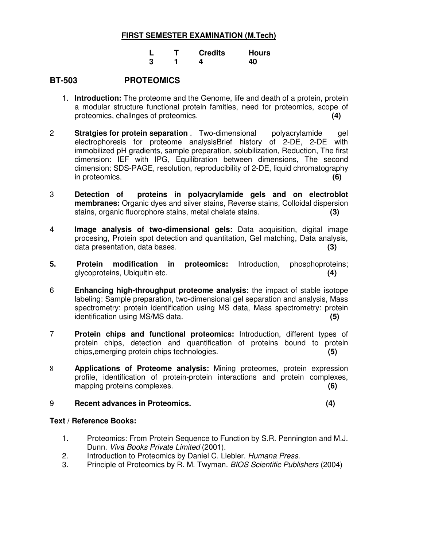|  | <b>Credits</b> | Hours |
|--|----------------|-------|
|  |                | 40    |

#### **BT-503 PROTEOMICS**

- 1. **Introduction:** The proteome and the Genome, life and death of a protein, protein a modular structure functional protein famities, need for proteomics, scope of proteomics, challnges of proteomics. **(4)**
- 2 **Stratgies for protein separation** . Two-dimensional polyacrylamide gel electrophoresis for proteome analysisBrief history of 2-DE, 2-DE with immobilized pH gradients, sample preparation, solubilization, Reduction, The first dimension: IEF with IPG, Equilibration between dimensions, The second dimension: SDS-PAGE, resolution, reproducibility of 2-DE, liquid chromatography in proteomics. **(6)**
- 3 **Detection of proteins in polyacrylamide gels and on electroblot membranes:** Organic dyes and silver stains, Reverse stains, Colloidal dispersion stains, organic fluorophore stains, metal chelate stains. **(3)**
- 4 **Image analysis of two-dimensional gels:** Data acquisition, digital image procesing, Protein spot detection and quantitation, Gel matching, Data analysis, data presentation, data bases. **(3)**
- **5. Protein modification in proteomics:** Introduction, phosphoproteins; glycoproteins, Ubiquitin etc. **(4)**
- 6 **Enhancing high-throughput proteome analysis:** the impact of stable isotope labeling: Sample preparation, two-dimensional gel separation and analysis, Mass spectrometry: protein identification using MS data, Mass spectrometry: protein identification using MS/MS data. **(5)**
- 7 **Protein chips and functional proteomics:** Introduction, different types of protein chips, detection and quantification of proteins bound to protein chips,emerging protein chips technologies. **(5)**
- 8 **Applications of Proteome analysis:** Mining proteomes, protein expression profile, identification of protein-protein interactions and protein complexes, mapping proteins complexes. **(6)**

#### 9 **Recent advances in Proteomics. (4)**

- 1. Proteomics: From Protein Sequence to Function by S.R. Pennington and M.J. Dunn. Viva Books Private Limited (2001).
- 2. Introduction to Proteomics by Daniel C. Liebler. Humana Press.
- 3. Principle of Proteomics by R. M. Twyman. BIOS Scientific Publishers (2004)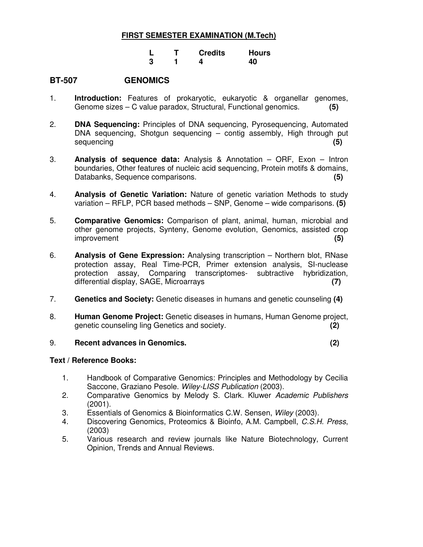|  | <b>Credits</b> | Hours |
|--|----------------|-------|
|  |                | 40    |

#### **BT-507 GENOMICS**

- 1. **Introduction:** Features of prokaryotic, eukaryotic & organellar genomes, Genome sizes – C value paradox, Structural, Functional genomics. **(5)**
- 2. **DNA Sequencing:** Principles of DNA sequencing, Pyrosequencing, Automated DNA sequencing, Shotgun sequencing – contig assembly, High through put sequencing **(5)**
- 3. **Analysis of sequence data:** Analysis & Annotation ORF, Exon Intron boundaries, Other features of nucleic acid sequencing, Protein motifs & domains, Databanks, Sequence comparisons. **(5)**
- 4. **Analysis of Genetic Variation:** Nature of genetic variation Methods to study variation – RFLP, PCR based methods – SNP, Genome – wide comparisons. **(5)**
- 5. **Comparative Genomics:** Comparison of plant, animal, human, microbial and other genome projects, Synteny, Genome evolution, Genomics, assisted crop improvement **(5)**
- 6. **Analysis of Gene Expression:** Analysing transcription Northern blot, RNase protection assay, Real Time-PCR, Primer extension analysis, SI-nuclease protection assay, Comparing transcriptomes- subtractive hybridization, differential display, SAGE, Microarrays **(7)**
- 7. **Genetics and Society:** Genetic diseases in humans and genetic counseling **(4)**
- 8. **Human Genome Project:** Genetic diseases in humans, Human Genome project, genetic counseling ling Genetics and society. **(2)**

#### 9. **Recent advances in Genomics. (2)**

- 1. Handbook of Comparative Genomics: Principles and Methodology by Cecilia Saccone, Graziano Pesole. Wiley-LISS Publication (2003).
- 2. Comparative Genomics by Melody S. Clark. Kluwer Academic Publishers (2001).
- 3. Essentials of Genomics & Bioinformatics C.W. Sensen, Wiley (2003).
- 4. Discovering Genomics, Proteomics & Bioinfo, A.M. Campbell, C.S.H. Press, (2003)
- 5. Various research and review journals like Nature Biotechnology, Current Opinion, Trends and Annual Reviews.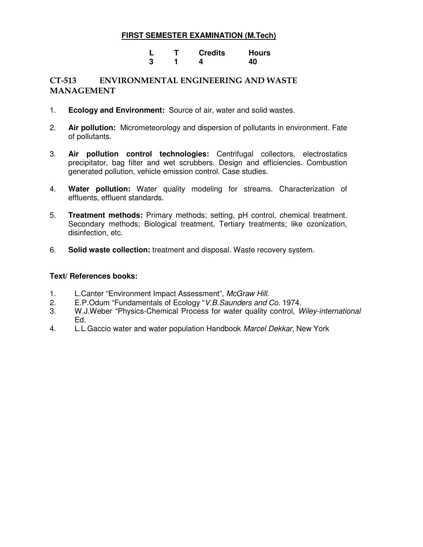#### **L T Credits Hours 3** 1 4 40

#### CT-513 ENVIRONMENTAL ENGINEERING AND WASTE MANAGEMENT

- 1. **Ecology and Environment:** Source of air, water and solid wastes.
- 2. **Air pollution:** Micrometeorology and dispersion of pollutants in environment. Fate of pollutants.
- 3. **Air pollution control technologies:** Centrifugal collectors, electrostatics precipitator, bag filter and wet scrubbers. Design and efficiencies. Combustion generated pollution, vehicle emission control. Case studies.
- 4. **Water pollution:** Water quality modeling for streams. Characterization of effluents, effluent standards.
- 5. **Treatment methods:** Primary methods; setting, pH control, chemical treatment. Secondary methods; Biological treatment, Tertiary treatments; like ozonization, disinfection, etc.
- 6. **Solid waste collection:** treatment and disposal. Waste recovery system.

- 1. L.Canter "Environment Impact Assessment", McGraw Hill.
- 2. E.P. Odum "Fundamentals of Ecology "V.B. Saunders and Co. 1974.
- 3. W.J.Weber "Physics-Chemical Process for water quality control, Wiley-international Ed.
- 4. L.L.Gaccio water and water population Handbook Marcel Dekkar, New York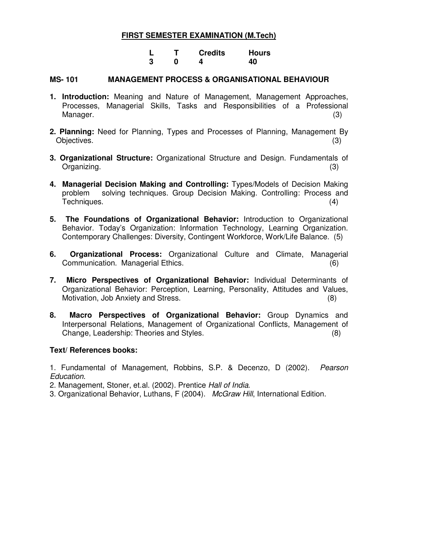**L T Credits Hours 3** 0 4 40

#### **MS- 101 MANAGEMENT PROCESS & ORGANISATIONAL BEHAVIOUR**

- **1. Introduction:** Meaning and Nature of Management, Management Approaches, Processes, Managerial Skills, Tasks and Responsibilities of a Professional Manager. (3) (3)
- **2. Planning:** Need for Planning, Types and Processes of Planning, Management By Objectives. (3) (3)
- **3. Organizational Structure:** Organizational Structure and Design. Fundamentals of Organizing. (3)
- **4. Managerial Decision Making and Controlling:** Types/Models of Decision Making problem solving techniques. Group Decision Making. Controlling: Process and Techniques. (4)
- **5. The Foundations of Organizational Behavior:** Introduction to Organizational Behavior. Today's Organization: Information Technology, Learning Organization. Contemporary Challenges: Diversity, Contingent Workforce, Work/Life Balance. (5)
- **6. Organizational Process:** Organizational Culture and Climate, Managerial Communication. Managerial Ethics. (6)
- **7. Micro Perspectives of Organizational Behavior:** Individual Determinants of Organizational Behavior: Perception, Learning, Personality, Attitudes and Values, Motivation, Job Anxiety and Stress. (8)
- **8. Macro Perspectives of Organizational Behavior:** Group Dynamics and Interpersonal Relations, Management of Organizational Conflicts, Management of Change, Leadership: Theories and Styles. (8)

#### **Text/ References books:**

1. Fundamental of Management, Robbins, S.P. & Decenzo, D (2002). Pearson Education.

2. Management, Stoner, et.al. (2002). Prentice Hall of India.

3. Organizational Behavior, Luthans, F (2004). McGraw Hill, International Edition.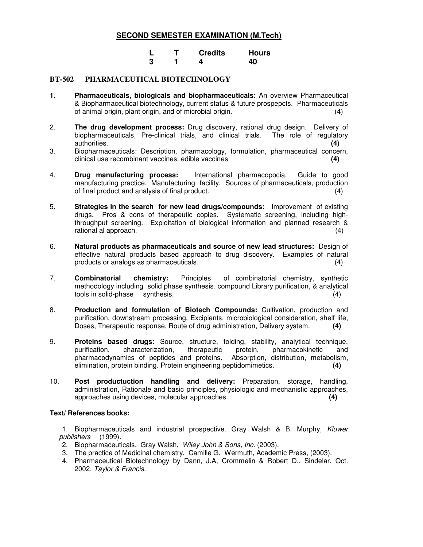|  | <b>Credits</b> | <b>Hours</b> |
|--|----------------|--------------|
|  |                | 40           |

#### **BT-502 PHARMACEUTICAL BIOTECHNOLOGY**

- **1. Pharmaceuticals, biologicals and biopharmaceuticals:** An overview Pharmaceutical & Biopharmaceutical biotechnology, current status & future prospepcts. Pharmaceuticals of animal origin, plant origin, and of microbial origin. (4)
- 2. **The drug development process:** Drug discovery, rational drug design. Delivery of biopharmaceuticals, Pre-clinical trials, and clinical trials. The role of regulatory authorities. **(4)**
- 3. Biopharmaceuticals: Description, pharmacology, formulation, pharmaceutical concern, clinical use recombinant vaccines, edible vaccines **(4)**
- 4. **Drug manufacturing process:** International pharmacopocia. Guide to good manufacturing practice. Manufacturing facility. Sources of pharmaceuticals, production of final product and analysis of final product. (4)
- 5. **Strategies in the search for new lead drugs/compounds:** Improvement of existing drugs. Pros & cons of therapeutic copies. Systematic screening, including highthroughput screening. Exploitation of biological information and planned research & rational al approach. (4)
- 6. **Natural products as pharmaceuticals and source of new lead structures:** Design of effective natural products based approach to drug discovery. Examples of natural products or analogs as pharmaceuticals. (4)
- 7. **Combinatorial chemistry:** Principles of combinatorial chemistry, synthetic methodology including solid phase synthesis. compound Library purification, & analytical tools in solid-phase synthesis. (4)
- 8. **Production and formulation of Biotech Compounds:** Cultivation, production and purification, downstream processing, Excipients, microbiological consideration, shelf life, Doses, Therapeutic response, Route of drug administration, Delivery system. **(4)**
- 9. **Proteins based drugs:** Source, structure, folding, stability, analytical technique, purification, characterization, therapeutic protein, pharmacokinetic and pharmacodynamics of peptides and proteins. Absorption, distribution, metabolism, elimination, protein binding. Protein engineering peptidomimetics. **(4)**
- 10. **Post productuction handling and delivery:** Preparation, storage, handling, administration, Rationale and basic principles, physiologic and mechanistic approaches, approaches using devices, molecular approaches. **(4)**

#### **Text/ References books:**

1. Biopharmaceuticals and industrial prospective. Gray Walsh & B. Murphy, Kluwer publishers (1999).

- 2. Biopharmaceuticals. Gray Walsh, Wiley John & Sons, Inc. (2003).
- 3. The practice of Medicinal chemistry. Camille G. Wermuth, Academic Press, (2003).
- 4. Pharmaceutical Biotechnology by Dann, J.A, Crommelin & Robert D., Sindelar, Oct. 2002, Taylor & Francis.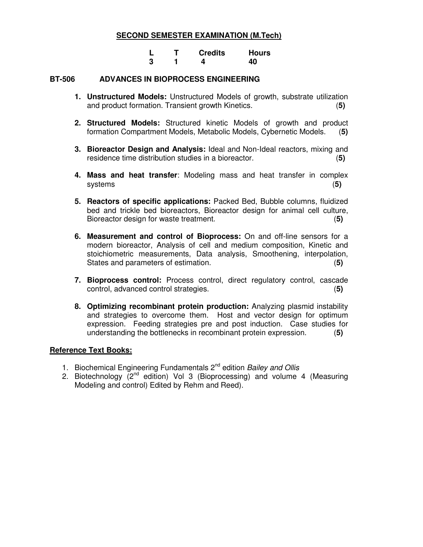|  | <b>Credits</b> | <b>Hours</b> |
|--|----------------|--------------|
|  |                | 40           |

#### **BT-506 ADVANCES IN BIOPROCESS ENGINEERING**

- **1. Unstructured Models:** Unstructured Models of growth, substrate utilization and product formation. Transient growth Kinetics. (**5)**
- **2. Structured Models:** Structured kinetic Models of growth and product formation Compartment Models, Metabolic Models, Cybernetic Models. (**5)**
- **3. Bioreactor Design and Analysis:** Ideal and Non-Ideal reactors, mixing and residence time distribution studies in a bioreactor. (**5)**
- **4. Mass and heat transfer**: Modeling mass and heat transfer in complex systems (**5)**
- **5. Reactors of specific applications:** Packed Bed, Bubble columns, fluidized bed and trickle bed bioreactors, Bioreactor design for animal cell culture, Bioreactor design for waste treatment. (**5)**
- **6. Measurement and control of Bioprocess:** On and off-line sensors for a modern bioreactor, Analysis of cell and medium composition, Kinetic and stoichiometric measurements, Data analysis, Smoothening, interpolation, States and parameters of estimation. (**5)**
- **7. Bioprocess control:** Process control, direct regulatory control, cascade control, advanced control strategies. (**5)**
- **8. Optimizing recombinant protein production:** Analyzing plasmid instability and strategies to overcome them. Host and vector design for optimum expression. Feeding strategies pre and post induction. Case studies for understanding the bottlenecks in recombinant protein expression. (**5)**

#### **Reference Text Books:**

- 1. Biochemical Engineering Fundamentals 2<sup>nd</sup> edition Bailey and Ollis
- 2. Biotechnology  $\check{Q}^{nd}$  edition) Vol 3 (Bioprocessing) and volume 4 (Measuring Modeling and control) Edited by Rehm and Reed).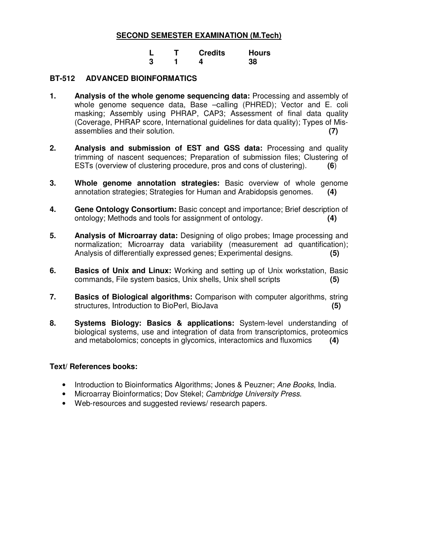|  | <b>Credits</b> | <b>Hours</b> |
|--|----------------|--------------|
|  |                | 38           |

#### **BT-512 ADVANCED BIOINFORMATICS**

- **1. Analysis of the whole genome sequencing data:** Processing and assembly of whole genome sequence data, Base –calling (PHRED); Vector and E. coli masking; Assembly using PHRAP, CAP3; Assessment of final data quality (Coverage, PHRAP score, International guidelines for data quality); Types of Misassemblies and their solution. **(7)**
- **2. Analysis and submission of EST and GSS data:** Processing and quality trimming of nascent sequences; Preparation of submission files; Clustering of ESTs (overview of clustering procedure, pros and cons of clustering). **(6**)
- **3. Whole genome annotation strategies:** Basic overview of whole genome annotation strategies; Strategies for Human and Arabidopsis genomes. **(4)**
- **4. Gene Ontology Consortium:** Basic concept and importance; Brief description of ontology; Methods and tools for assignment of ontology. **(4)**
- **5. Analysis of Microarray data:** Designing of oligo probes; Image processing and normalization; Microarray data variability (measurement ad quantification); Analysis of differentially expressed genes; Experimental designs. **(5)**
- **6. Basics of Unix and Linux:** Working and setting up of Unix workstation, Basic commands, File system basics, Unix shells, Unix shell scripts **(5)**
- **7. Basics of Biological algorithms:** Comparison with computer algorithms, string structures, Introduction to BioPerl, BioJava **(5)**
- **8. Systems Biology: Basics & applications:** System-level understanding of biological systems, use and integration of data from transcriptomics, proteomics and metabolomics; concepts in glycomics, interactomics and fluxomics **(4)**

- Introduction to Bioinformatics Algorithms; Jones & Peuzner; Ane Books, India.
- Microarray Bioinformatics; Dov Stekel; Cambridge University Press.
- Web-resources and suggested reviews/ research papers.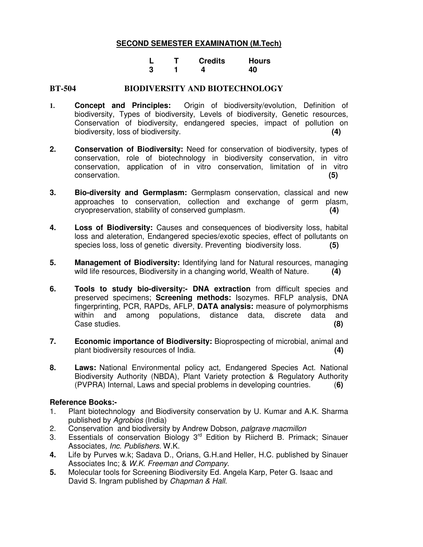|  | <b>Credits</b> | <b>Hours</b> |
|--|----------------|--------------|
|  | Δ              | 40           |

#### **BT-504 BIODIVERSITY AND BIOTECHNOLOGY**

- **1. Concept and Principles:** Origin of biodiversity/evolution, Definition of biodiversity, Types of biodiversity, Levels of biodiversity, Genetic resources, Conservation of biodiversity, endangered species, impact of pollution on biodiversity, loss of biodiversity. **(4)**
- **2. Conservation of Biodiversity:** Need for conservation of biodiversity, types of conservation, role of biotechnology in biodiversity conservation, in vitro conservation, application of in vitro conservation, limitation of in vitro conservation. **(5)**
- **3. Bio-diversity and Germplasm:** Germplasm conservation, classical and new approaches to conservation, collection and exchange of germ plasm, cryopreservation, stability of conserved gumplasm. **(4)**
- **4. Loss of Biodiversity:** Causes and consequences of biodiversity loss, habital loss and aleteration, Endangered species/exotic species, effect of pollutants on species loss, loss of genetic diversity. Preventing biodiversity loss. **(5)**
- **5. Management of Biodiversity:** Identifying land for Natural resources, managing wild life resources, Biodiversity in a changing world, Wealth of Nature. **(4)**
- **6. Tools to study bio-diversity:- DNA extraction** from difficult species and preserved specimens; **Screening methods:** Isozymes. RFLP analysis, DNA fingerprinting, PCR, RAPDs, AFLP, **DATA analysis:** measure of polymorphisms within and among populations, distance data, discrete data and Case studies. **(8)**
- **7. Economic importance of Biodiversity:** Bioprospecting of microbial, animal and plant biodiversity resources of India. **(4)**
- **8. Laws:** National Environmental policy act, Endangered Species Act. National Biodiversity Authority (NBDA), Plant Variety protection & Regulatory Authority (PVPRA) Internal, Laws and special problems in developing countries. (**6)**

#### **Reference Books:-**

- 1. Plant biotechnology and Biodiversity conservation by U. Kumar and A.K. Sharma published by Agrobios (India)
- 2. Conservation and biodiversity by Andrew Dobson, palgrave macmillon
- 3. Essentials of conservation Biology 3<sup>rd</sup> Edition by Riicherd B. Primack; Sinauer Associates, Inc. Publishers. W.K.
- **4.** Life by Purves w.k; Sadava D., Orians, G.H.and Heller, H.C. published by Sinauer Associates Inc; & W.K. Freeman and Company.
- **5.** Molecular tools for Screening Biodiversity Ed. Angela Karp, Peter G. Isaac and David S. Ingram published by Chapman & Hall.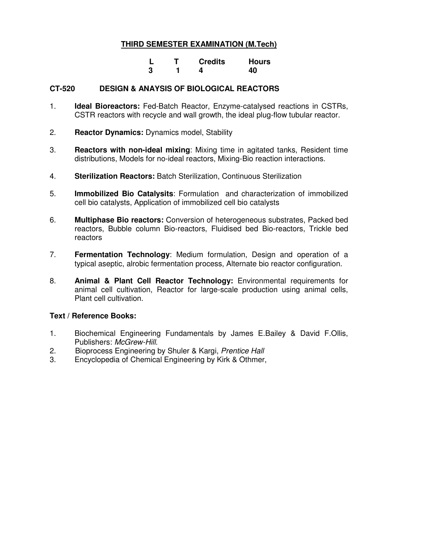|  | <b>Credits</b> | Hours |
|--|----------------|-------|
|  |                | 40    |

#### **CT-520 DESIGN & ANAYSIS OF BIOLOGICAL REACTORS**

- 1. **Ideal Bioreactors:** Fed-Batch Reactor, Enzyme-catalysed reactions in CSTRs, CSTR reactors with recycle and wall growth, the ideal plug-flow tubular reactor.
- 2. **Reactor Dynamics:** Dynamics model, Stability
- 3. **Reactors with non-ideal mixing**: Mixing time in agitated tanks, Resident time distributions, Models for no-ideal reactors, Mixing-Bio reaction interactions.
- 4. **Sterilization Reactors:** Batch Sterilization, Continuous Sterilization
- 5. **Immobilized Bio Catalysits**: Formulation and characterization of immobilized cell bio catalysts, Application of immobilized cell bio catalysts
- 6. **Multiphase Bio reactors:** Conversion of heterogeneous substrates, Packed bed reactors, Bubble column Bio-reactors, Fluidised bed Bio-reactors, Trickle bed reactors
- 7. **Fermentation Technology**: Medium formulation, Design and operation of a typical aseptic, alrobic fermentation process, Alternate bio reactor configuration.
- 8. **Animal & Plant Cell Reactor Technology:** Environmental requirements for animal cell cultivation, Reactor for large-scale production using animal cells, Plant cell cultivation.

- 1. Biochemical Engineering Fundamentals by James E.Bailey & David F.Ollis, Publishers: McGrew-Hill.
- 2. Bioprocess Engineering by Shuler & Kargi, Prentice Hall
- 3. Encyclopedia of Chemical Engineering by Kirk & Othmer,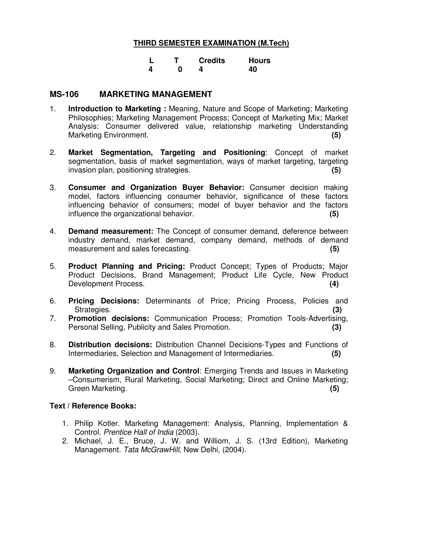|  | <b>Credits</b> | <b>Hours</b> |
|--|----------------|--------------|
|  |                | 40           |

#### **MS-106 MARKETING MANAGEMENT**

- 1. **Introduction to Marketing :** Meaning, Nature and Scope of Marketing; Marketing Philosophies; Marketing Management Process; Concept of Marketing Mix; Market Analysis: Consumer delivered value, relationship marketing Understanding Marketing Environment. **(5)**
- 2. **Market Segmentation, Targeting and Positioning**: Concept of market segmentation, basis of market segmentation, ways of market targeting, targeting invasion plan, positioning strategies. **(5)**
- 3. **Consumer and Organization Buyer Behavior:** Consumer decision making model, factors influencing consumer behavior, significance of these factors influencing behavior of consumers; model of buyer behavior and the factors influence the organizational behavior. **(5)**
- 4. **Demand measurement:** The Concept of consumer demand, deference between industry demand, market demand, company demand, methods of demand measurement and sales forecasting. **(5)**
- 5. **Product Planning and Pricing:** Product Concept; Types of Products; Major Product Decisions, Brand Management; Product Life Cycle, New Product Development Process. **(4)**
- 6. **Pricing Decisions:** Determinants of Price; Pricing Process, Policies and Strategies. **(3)**
- 7. **Promotion decisions:** Communication Process; Promotion Tools-Advertising, Personal Selling, Publicity and Sales Promotion. **(3)**
- 8. **Distribution decisions:** Distribution Channel Decisions-Types and Functions of Intermediaries, Selection and Management of Intermediaries. **(5)**
- 9. **Marketing Organization and Control**: Emerging Trends and Issues in Marketing –Consumerism, Rural Marketing, Social Marketing; Direct and Online Marketing; Green Marketing. **(5)**

- 1. Philip Kotler. Marketing Management: Analysis, Planning, Implementation & Control. Prentice Hall of India (2003).
- 2. Michael, J. E., Bruce, J. W. and Williom, J. S. (13rd Edition), Marketing Management. Tata McGrawHill, New Delhi, (2004).